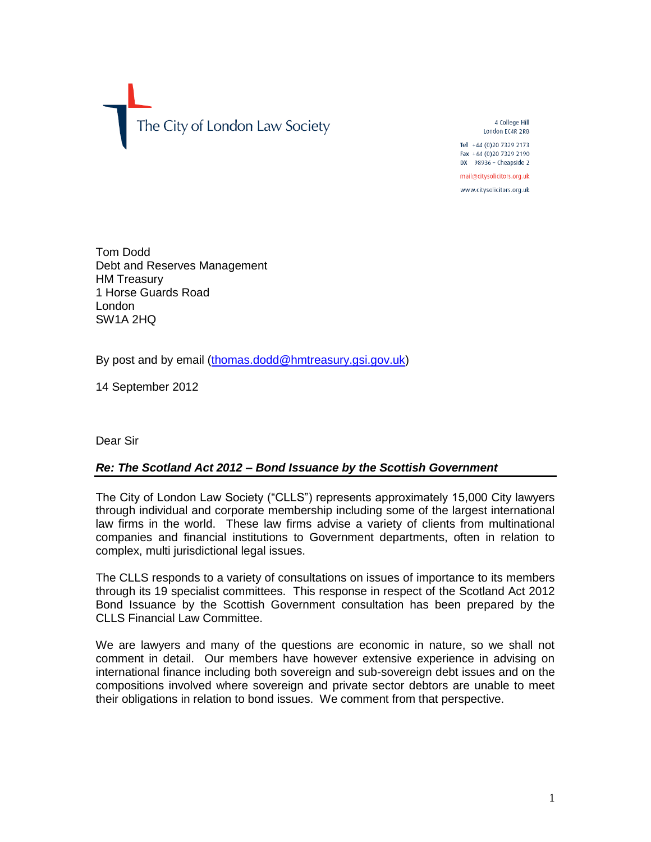The City of London Law Society

4 College Hill London EC4R 2RB Tel +44 (0) 20 7329 2173

Fax +44 (0)20 7329 2190 DX 98936 - Cheapside 2

mail@citysolicitors.org.uk

www.citysolicitors.org.uk

Tom Dodd Debt and Reserves Management HM Treasury 1 Horse Guards Road London SW1A 2HQ

By post and by email [\(thomas.dodd@hmtreasury.gsi.gov.uk\)](mailto:thomas.dodd@hmtreasury.gsi.gov.uk)

14 September 2012

Dear Sir

# *Re: The Scotland Act 2012 – Bond Issuance by the Scottish Government*

The City of London Law Society ("CLLS") represents approximately 15,000 City lawyers through individual and corporate membership including some of the largest international law firms in the world. These law firms advise a variety of clients from multinational companies and financial institutions to Government departments, often in relation to complex, multi jurisdictional legal issues.

The CLLS responds to a variety of consultations on issues of importance to its members through its 19 specialist committees. This response in respect of the Scotland Act 2012 Bond Issuance by the Scottish Government consultation has been prepared by the CLLS Financial Law Committee.

We are lawyers and many of the questions are economic in nature, so we shall not comment in detail. Our members have however extensive experience in advising on international finance including both sovereign and sub-sovereign debt issues and on the compositions involved where sovereign and private sector debtors are unable to meet their obligations in relation to bond issues. We comment from that perspective.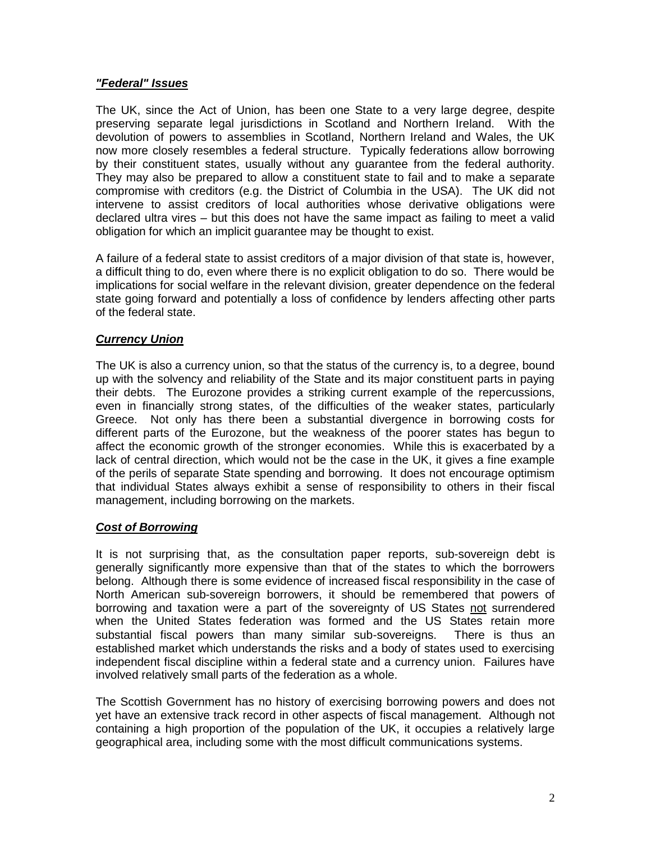#### *"Federal" Issues*

The UK, since the Act of Union, has been one State to a very large degree, despite preserving separate legal jurisdictions in Scotland and Northern Ireland. With the devolution of powers to assemblies in Scotland, Northern Ireland and Wales, the UK now more closely resembles a federal structure. Typically federations allow borrowing by their constituent states, usually without any guarantee from the federal authority. They may also be prepared to allow a constituent state to fail and to make a separate compromise with creditors (e.g. the District of Columbia in the USA). The UK did not intervene to assist creditors of local authorities whose derivative obligations were declared ultra vires – but this does not have the same impact as failing to meet a valid obligation for which an implicit guarantee may be thought to exist.

A failure of a federal state to assist creditors of a major division of that state is, however, a difficult thing to do, even where there is no explicit obligation to do so. There would be implications for social welfare in the relevant division, greater dependence on the federal state going forward and potentially a loss of confidence by lenders affecting other parts of the federal state.

# *Currency Union*

The UK is also a currency union, so that the status of the currency is, to a degree, bound up with the solvency and reliability of the State and its major constituent parts in paying their debts. The Eurozone provides a striking current example of the repercussions, even in financially strong states, of the difficulties of the weaker states, particularly Greece. Not only has there been a substantial divergence in borrowing costs for different parts of the Eurozone, but the weakness of the poorer states has begun to affect the economic growth of the stronger economies. While this is exacerbated by a lack of central direction, which would not be the case in the UK, it gives a fine example of the perils of separate State spending and borrowing. It does not encourage optimism that individual States always exhibit a sense of responsibility to others in their fiscal management, including borrowing on the markets.

## *Cost of Borrowing*

It is not surprising that, as the consultation paper reports, sub-sovereign debt is generally significantly more expensive than that of the states to which the borrowers belong. Although there is some evidence of increased fiscal responsibility in the case of North American sub-sovereign borrowers, it should be remembered that powers of borrowing and taxation were a part of the sovereignty of US States not surrendered when the United States federation was formed and the US States retain more substantial fiscal powers than many similar sub-sovereigns. There is thus an established market which understands the risks and a body of states used to exercising independent fiscal discipline within a federal state and a currency union. Failures have involved relatively small parts of the federation as a whole.

The Scottish Government has no history of exercising borrowing powers and does not yet have an extensive track record in other aspects of fiscal management. Although not containing a high proportion of the population of the UK, it occupies a relatively large geographical area, including some with the most difficult communications systems.